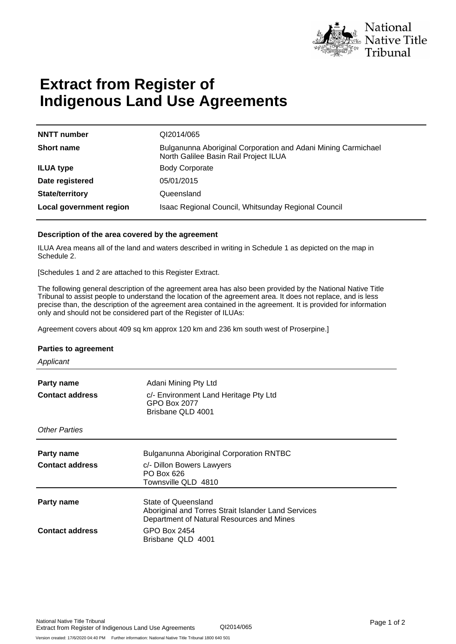

# **Extract from Register of Indigenous Land Use Agreements**

| <b>NNTT</b> number      | QI2014/065                                                                                             |
|-------------------------|--------------------------------------------------------------------------------------------------------|
| <b>Short name</b>       | Bulganunna Aboriginal Corporation and Adani Mining Carmichael<br>North Galilee Basin Rail Project ILUA |
| <b>ILUA type</b>        | <b>Body Corporate</b>                                                                                  |
| Date registered         | 05/01/2015                                                                                             |
| <b>State/territory</b>  | Queensland                                                                                             |
| Local government region | Isaac Regional Council, Whitsunday Regional Council                                                    |

### **Description of the area covered by the agreement**

ILUA Area means all of the land and waters described in writing in Schedule 1 as depicted on the map in Schedule 2.

[Schedules 1 and 2 are attached to this Register Extract.

The following general description of the agreement area has also been provided by the National Native Title Tribunal to assist people to understand the location of the agreement area. It does not replace, and is less precise than, the description of the agreement area contained in the agreement. It is provided for information only and should not be considered part of the Register of ILUAs:

Agreement covers about 409 sq km approx 120 km and 236 km south west of Proserpine.]

#### **Parties to agreement**

**Applicant** 

| Party name<br><b>Contact address</b> | Adani Mining Pty Ltd<br>c/- Environment Land Heritage Pty Ltd<br>GPO Box 2077<br>Brisbane QLD 4001                      |
|--------------------------------------|-------------------------------------------------------------------------------------------------------------------------|
| <b>Other Parties</b>                 |                                                                                                                         |
| Party name<br><b>Contact address</b> | <b>Bulganunna Aboriginal Corporation RNTBC</b><br>c/- Dillon Bowers Lawyers<br>PO Box 626<br>Townsville QLD 4810        |
| Party name                           | State of Queensland<br>Aboriginal and Torres Strait Islander Land Services<br>Department of Natural Resources and Mines |
| <b>Contact address</b>               | GPO Box 2454<br>Brisbane QLD 4001                                                                                       |